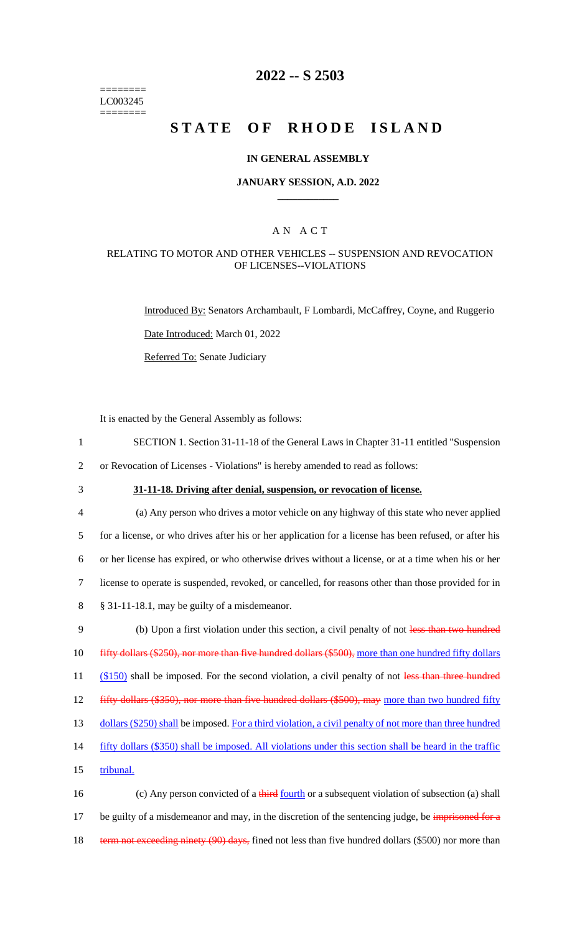======== LC003245 ========

### **2022 -- S 2503**

# **STATE OF RHODE ISLAND**

#### **IN GENERAL ASSEMBLY**

#### **JANUARY SESSION, A.D. 2022 \_\_\_\_\_\_\_\_\_\_\_\_**

#### A N A C T

#### RELATING TO MOTOR AND OTHER VEHICLES -- SUSPENSION AND REVOCATION OF LICENSES--VIOLATIONS

Introduced By: Senators Archambault, F Lombardi, McCaffrey, Coyne, and Ruggerio Date Introduced: March 01, 2022

Referred To: Senate Judiciary

It is enacted by the General Assembly as follows:

- 1 SECTION 1. Section 31-11-18 of the General Laws in Chapter 31-11 entitled "Suspension 2 or Revocation of Licenses - Violations" is hereby amended to read as follows:
- 

### 3 **31-11-18. Driving after denial, suspension, or revocation of license.**

 (a) Any person who drives a motor vehicle on any highway of this state who never applied for a license, or who drives after his or her application for a license has been refused, or after his or her license has expired, or who otherwise drives without a license, or at a time when his or her license to operate is suspended, revoked, or cancelled, for reasons other than those provided for in § 31-11-18.1, may be guilty of a misdemeanor. 9 (b) Upon a first violation under this section, a civil penalty of not less than two hundred 10 fifty dollars (\$250), nor more than five hundred dollars (\$500), more than one hundred fifty dollars

11 (\$150) shall be imposed. For the second violation, a civil penalty of not less than three hundred

12 fifty dollars (\$350), nor more than five hundred dollars (\$500), may more than two hundred fifty

13 dollars (\$250) shall be imposed. For a third violation, a civil penalty of not more than three hundred

14 fifty dollars (\$350) shall be imposed. All violations under this section shall be heard in the traffic

15 tribunal.

16 (c) Any person convicted of a third fourth or a subsequent violation of subsection (a) shall 17 be guilty of a misdemeanor and may, in the discretion of the sentencing judge, be imprisoned for a 18 term not exceeding ninety (90) days, fined not less than five hundred dollars (\$500) nor more than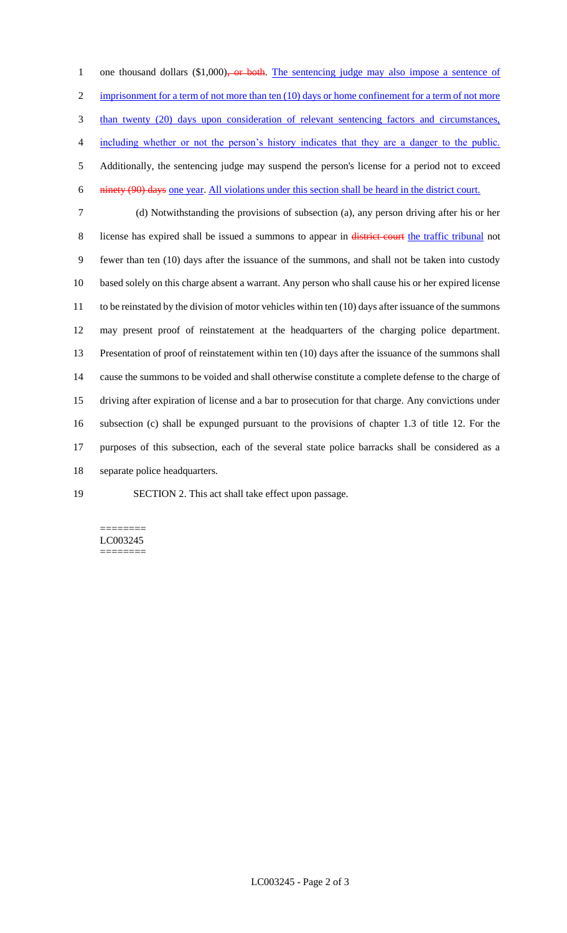1 one thousand dollars (\$1,000)<del>, or both</del>. The sentencing judge may also impose a sentence of 2 imprisonment for a term of not more than ten (10) days or home confinement for a term of not more than twenty (20) days upon consideration of relevant sentencing factors and circumstances, including whether or not the person's history indicates that they are a danger to the public. Additionally, the sentencing judge may suspend the person's license for a period not to exceed ninety (90) days one year. All violations under this section shall be heard in the district court.

 (d) Notwithstanding the provisions of subsection (a), any person driving after his or her 8 license has expired shall be issued a summons to appear in district court the traffic tribunal not fewer than ten (10) days after the issuance of the summons, and shall not be taken into custody based solely on this charge absent a warrant. Any person who shall cause his or her expired license to be reinstated by the division of motor vehicles within ten (10) days after issuance of the summons may present proof of reinstatement at the headquarters of the charging police department. Presentation of proof of reinstatement within ten (10) days after the issuance of the summons shall cause the summons to be voided and shall otherwise constitute a complete defense to the charge of driving after expiration of license and a bar to prosecution for that charge. Any convictions under subsection (c) shall be expunged pursuant to the provisions of chapter 1.3 of title 12. For the purposes of this subsection, each of the several state police barracks shall be considered as a separate police headquarters.

SECTION 2. This act shall take effect upon passage.

======== LC003245 ========